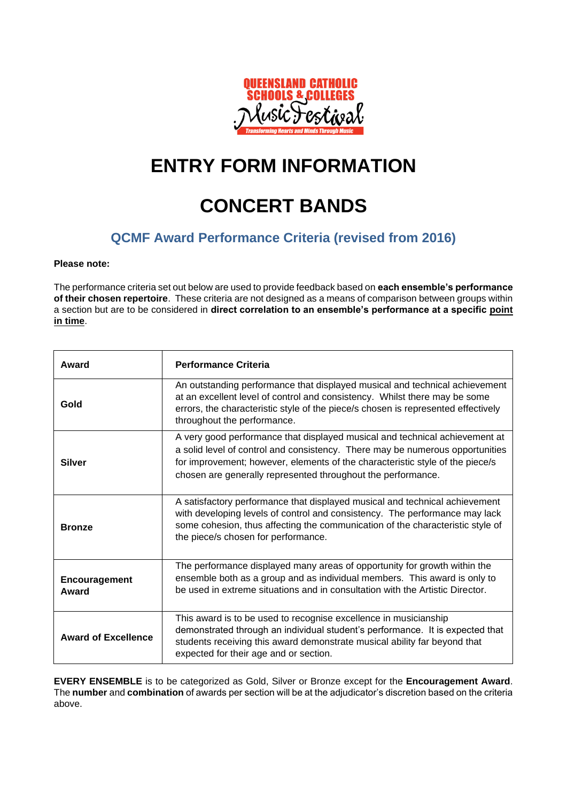

# **ENTRY FORM INFORMATION**

# **CONCERT BANDS**

### **QCMF Award Performance Criteria (revised from 2016)**

#### **Please note:**

The performance criteria set out below are used to provide feedback based on **each ensemble's performance of their chosen repertoire**. These criteria are not designed as a means of comparison between groups within a section but are to be considered in **direct correlation to an ensemble's performance at a specific point in time**.

| Award                      | <b>Performance Criteria</b>                                                                                                                                                                                                                                                                                   |
|----------------------------|---------------------------------------------------------------------------------------------------------------------------------------------------------------------------------------------------------------------------------------------------------------------------------------------------------------|
| Gold                       | An outstanding performance that displayed musical and technical achievement<br>at an excellent level of control and consistency. Whilst there may be some<br>errors, the characteristic style of the piece/s chosen is represented effectively<br>throughout the performance.                                 |
| <b>Silver</b>              | A very good performance that displayed musical and technical achievement at<br>a solid level of control and consistency. There may be numerous opportunities<br>for improvement; however, elements of the characteristic style of the piece/s<br>chosen are generally represented throughout the performance. |
| <b>Bronze</b>              | A satisfactory performance that displayed musical and technical achievement<br>with developing levels of control and consistency. The performance may lack<br>some cohesion, thus affecting the communication of the characteristic style of<br>the piece/s chosen for performance.                           |
| Encouragement<br>Award     | The performance displayed many areas of opportunity for growth within the<br>ensemble both as a group and as individual members. This award is only to<br>be used in extreme situations and in consultation with the Artistic Director.                                                                       |
| <b>Award of Excellence</b> | This award is to be used to recognise excellence in musicianship<br>demonstrated through an individual student's performance. It is expected that<br>students receiving this award demonstrate musical ability far beyond that<br>expected for their age and or section.                                      |

**EVERY ENSEMBLE** is to be categorized as Gold, Silver or Bronze except for the **Encouragement Award**. The **number** and **combination** of awards per section will be at the adjudicator's discretion based on the criteria above.